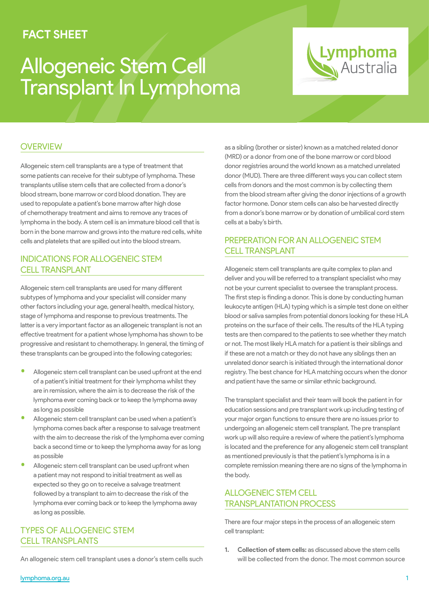### **FACT SHEET**

# Allogeneic Stem Cell Transplant In Lymphoma

## Lymphoma **Australia**

#### **OVERVIEW**

Allogeneic stem cell transplants are a type of treatment that some patients can receive for their subtype of lymphoma. These transplants utilise stem cells that are collected from a donor's blood stream, bone marrow or cord blood donation. They are used to repopulate a patient's bone marrow after high dose of chemotherapy treatment and aims to remove any traces of lymphoma in the body. A stem cell is an immature blood cell that is born in the bone marrow and grows into the mature red cells, white cells and platelets that are spilled out into the blood stream.

#### INDICATIONS FOR ALLOGENEIC STEM CELL TRANSPLANT

Allogeneic stem cell transplants are used for many different subtypes of lymphoma and your specialist will consider many other factors including your age, general health, medical history, stage of lymphoma and response to previous treatments. The latter is a very important factor as an allogeneic transplant is not an effective treatment for a patient whose lymphoma has shown to be progressive and resistant to chemotherapy. In general, the timing of these transplants can be grouped into the following categories;

- Allogeneic stem cell transplant can be used upfront at the end of a patient's initial treatment for their lymphoma whilst they are in remission, where the aim is to decrease the risk of the lymphoma ever coming back or to keep the lymphoma away as long as possible
- Allogeneic stem cell transplant can be used when a patient's lymphoma comes back after a response to salvage treatment with the aim to decrease the risk of the lymphoma ever coming back a second time or to keep the lymphoma away for as long as possible
- Allogeneic stem cell transplant can be used upfront when a patient may not respond to initial treatment as well as expected so they go on to receive a salvage treatment followed by a transplant to aim to decrease the risk of the lymphoma ever coming back or to keep the lymphoma away as long as possible.

#### TYPES OF ALLOGENEIC STEM CELL TRANSPLANTS

An allogeneic stem cell transplant uses a donor's stem cells such

as a sibling (brother or sister) known as a matched related donor (MRD) or a donor from one of the bone marrow or cord blood donor registries around the world known as a matched unrelated donor (MUD). There are three different ways you can collect stem cells from donors and the most common is by collecting them from the blood stream after giving the donor injections of a growth factor hormone. Donor stem cells can also be harvested directly from a donor's bone marrow or by donation of umbilical cord stem cells at a baby's birth.

#### PREPERATION FOR AN ALLOGENEIC STEM CELL TRANSPLANT

Allogeneic stem cell transplants are quite complex to plan and deliver and you will be referred to a transplant specialist who may not be your current specialist to oversee the transplant process. The first step is finding a donor. This is done by conducting human leukocyte antigen (HLA) typing which is a simple test done on either blood or saliva samples from potential donors looking for these HLA proteins on the surface of their cells. The results of the HLA typing tests are then compared to the patients to see whether they match or not. The most likely HLA match for a patient is their siblings and if these are not a match or they do not have any siblings then an unrelated donor search is initiated through the international donor registry. The best chance for HLA matching occurs when the donor and patient have the same or similar ethnic background.

The transplant specialist and their team will book the patient in for education sessions and pre transplant work up including testing of your major organ functions to ensure there are no issues prior to undergoing an allogeneic stem cell transplant. The pre transplant work up will also require a review of where the patient's lymphoma is located and the preference for any allogeneic stem cell transplant as mentioned previously is that the patient's lymphoma is in a complete remission meaning there are no signs of the lymphoma in the body.

#### ALLOGENEIC STEM CELL TRANSPLANTATION PROCESS

There are four major steps in the process of an allogeneic stem cell transplant:

**1. Collection of stem cells:** as discussed above the stem cells will be collected from the donor. The most common source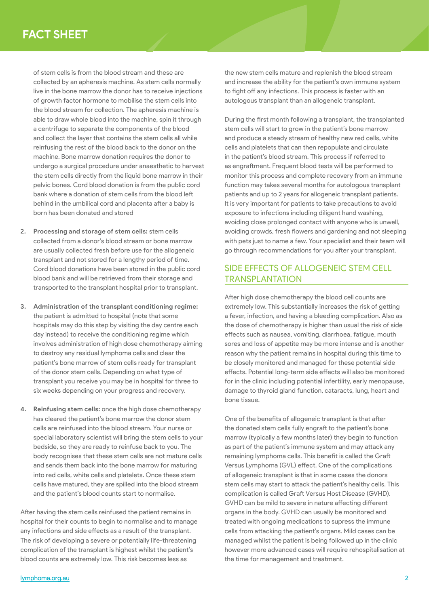## **FACT SHEET**

of stem cells is from the blood stream and these are collected by an apheresis machine. As stem cells normally live in the bone marrow the donor has to receive injections of growth factor hormone to mobilise the stem cells into the blood stream for collection. The apheresis machine is able to draw whole blood into the machine, spin it through a centrifuge to separate the components of the blood and collect the layer that contains the stem cells all while reinfusing the rest of the blood back to the donor on the machine. Bone marrow donation requires the donor to undergo a surgical procedure under anaesthetic to harvest the stem cells directly from the liquid bone marrow in their pelvic bones. Cord blood donation is from the public cord bank where a donation of stem cells from the blood left behind in the umbilical cord and placenta after a baby is born has been donated and stored

- **2. Processing and storage of stem cells:** stem cells collected from a donor's blood stream or bone marrow are usually collected fresh before use for the allogeneic transplant and not stored for a lengthy period of time. Cord blood donations have been stored in the public cord blood bank and will be retrieved from their storage and transported to the transplant hospital prior to transplant.
- **3. Administration of the transplant conditioning regime:** the patient is admitted to hospital (note that some hospitals may do this step by visiting the day centre each day instead) to receive the conditioning regime which involves administration of high dose chemotherapy aiming to destroy any residual lymphoma cells and clear the patient's bone marrow of stem cells ready for transplant of the donor stem cells. Depending on what type of transplant you receive you may be in hospital for three to six weeks depending on your progress and recovery.
- **4. Reinfusing stem cells:** once the high dose chemotherapy has cleared the patient's bone marrow the donor stem cells are reinfused into the blood stream. Your nurse or special laboratory scientist will bring the stem cells to your bedside, so they are ready to reinfuse back to you. The body recognises that these stem cells are not mature cells and sends them back into the bone marrow for maturing into red cells, white cells and platelets. Once these stem cells have matured, they are spilled into the blood stream and the patient's blood counts start to normalise.

After having the stem cells reinfused the patient remains in hospital for their counts to begin to normalise and to manage any infections and side effects as a result of the transplant. The risk of developing a severe or potentially life-threatening complication of the transplant is highest whilst the patient's blood counts are extremely low. This risk becomes less as

the new stem cells mature and replenish the blood stream and increase the ability for the patient's own immune system to fight off any infections. This process is faster with an autologous transplant than an allogeneic transplant.

During the first month following a transplant, the transplanted stem cells will start to grow in the patient's bone marrow and produce a steady stream of healthy new red cells, white cells and platelets that can then repopulate and circulate in the patient's blood stream. This process if referred to as engraftment. Frequent blood tests will be performed to monitor this process and complete recovery from an immune function may takes several months for autologous transplant patients and up to 2 years for allogeneic transplant patients. It is very important for patients to take precautions to avoid exposure to infections including diligent hand washing, avoiding close prolonged contact with anyone who is unwell, avoiding crowds, fresh flowers and gardening and not sleeping with pets just to name a few. Your specialist and their team will go through recommendations for you after your transplant.

#### SIDE EFFECTS OF ALLOGENEIC STEM CELL TRANSPLANTATION

After high dose chemotherapy the blood cell counts are extremely low. This substantially increases the risk of getting a fever, infection, and having a bleeding complication. Also as the dose of chemotherapy is higher than usual the risk of side effects such as nausea, vomiting, diarrhoea, fatigue, mouth sores and loss of appetite may be more intense and is another reason why the patient remains in hospital during this time to be closely monitored and managed for these potential side effects. Potential long-term side effects will also be monitored for in the clinic including potential infertility, early menopause, damage to thyroid gland function, cataracts, lung, heart and bone tissue.

One of the benefits of allogeneic transplant is that after the donated stem cells fully engraft to the patient's bone marrow (typically a few months later) they begin to function as part of the patient's immune system and may attack any remaining lymphoma cells. This benefit is called the Graft Versus Lymphoma (GVL) effect. One of the complications of allogeneic transplant is that in some cases the donors stem cells may start to attack the patient's healthy cells. This complication is called Graft Versus Host Disease (GVHD). GVHD can be mild to severe in nature affecting different organs in the body. GVHD can usually be monitored and treated with ongoing medications to supress the immune cells from attacking the patient's organs. Mild cases can be managed whilst the patient is being followed up in the clinic however more advanced cases will require rehospitalisation at the time for management and treatment.